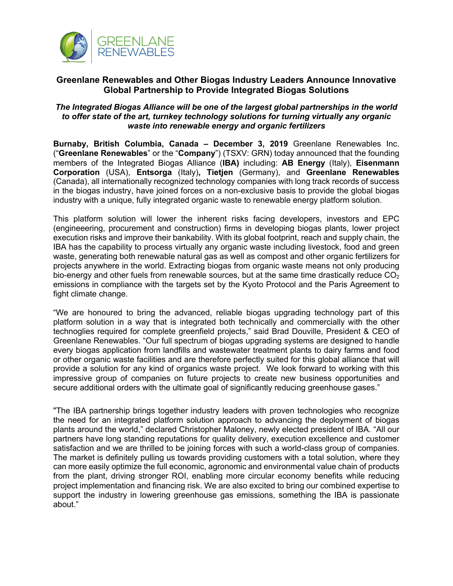

## **Greenlane Renewables and Other Biogas Industry Leaders Announce Innovative Global Partnership to Provide Integrated Biogas Solutions**

## *The Integrated Biogas Alliance will be one of the largest global partnerships in the world to offer state of the art, turnkey technology solutions for turning virtually any organic waste into renewable energy and organic fertilizers*

**Burnaby, British Columbia, Canada – December 3, 2019** Greenlane Renewables Inc. ("**Greenlane Renewables**" or the "**Company**") (TSXV: GRN) today announced that the founding members of the Integrated Biogas Alliance (**IBA)** including: **AB Energy** (Italy), **Eisenmann Corporation** (USA), **Entsorga** (Italy)**, Tietjen** (Germany), and **Greenlane Renewables** (Canada), all internationally recognized technology companies with long track records of success in the biogas industry, have joined forces on a non-exclusive basis to provide the global biogas industry with a unique, fully integrated organic waste to renewable energy platform solution.

This platform solution will lower the inherent risks facing developers, investors and EPC (engineeering, procurement and construction) firms in developing biogas plants, lower project execution risks and improve their bankability. With its global footprint, reach and supply chain, the IBA has the capability to process virtually any organic waste including livestock, food and green waste, generating both renewable natural gas as well as compost and other organic fertilizers for projects anywhere in the world. Extracting biogas from organic waste means not only producing bio-energy and other fuels from renewable sources, but at the same time drastically reduce  $CO<sub>2</sub>$ emissions in compliance with the targets set by the Kyoto Protocol and the Paris Agreement to fight climate change.

"We are honoured to bring the advanced, reliable biogas upgrading technology part of this platform solution in a way that is integrated both technically and commercially with the other technoglies required for complete greenfield projects," said Brad Douville, President & CEO of Greenlane Renewables. "Our full spectrum of biogas upgrading systems are designed to handle every biogas application from landfills and wastewater treatment plants to dairy farms and food or other organic waste facilities and are therefore perfectly suited for this global alliance that will provide a solution for any kind of organics waste project. We look forward to working with this impressive group of companies on future projects to create new business opportunities and secure additional orders with the ultimate goal of significantly reducing greenhouse gases."

"The IBA partnership brings together industry leaders with proven technologies who recognize the need for an integrated platform solution approach to advancing the deployment of biogas plants around the world," declared Christopher Maloney, newly elected president of IBA. "All our partners have long standing reputations for quality delivery, execution excellence and customer satisfaction and we are thrilled to be joining forces with such a world-class group of companies. The market is definitely pulling us towards providing customers with a total solution, where they can more easily optimize the full economic, agronomic and environmental value chain of products from the plant, driving stronger ROI, enabling more circular economy benefits while reducing project implementation and financing risk. We are also excited to bring our combined expertise to support the industry in lowering greenhouse gas emissions, something the IBA is passionate about."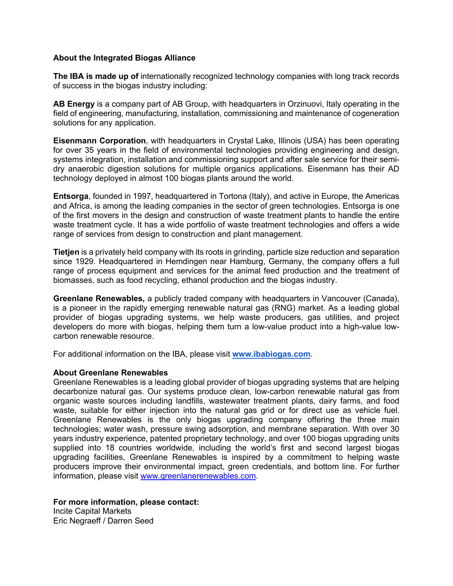## **About the Integrated Biogas Alliance**

**The IBA is made up of** internationally recognized technology companies with long track records of success in the biogas industry including:

**AB Energy** is a company part of AB Group, with headquarters in Orzinuovi, Italy operating in the field of engineering, manufacturing, installation, commissioning and maintenance of cogeneration solutions for any application.

**Eisenmann Corporation**, with headquarters in Crystal Lake, Illinois (USA) has been operating for over 35 years in the field of environmental technologies providing engineering and design, systems integration, installation and commissioning support and after sale service for their semidry anaerobic digestion solutions for multiple organics applications. Eisenmann has their AD technology deployed in almost 100 biogas plants around the world.

**Entsorga**, founded in 1997, headquartered in Tortona (Italy), and active in Europe, the Americas and Africa, is among the leading companies in the sector of green technologies. Entsorga is one of the first movers in the design and construction of waste treatment plants to handle the entire waste treatment cycle. It has a wide portfolio of waste treatment technologies and offers a wide range of services from design to construction and plant management.

**Tietjen** is a privately held company with its roots in grinding, particle size reduction and separation since 1929. Headquartered in Hemdingen near Hamburg, Germany, the company offers a full range of process equipment and services for the animal feed production and the treatment of biomasses, such as food recycling, ethanol production and the biogas industry.

**Greenlane Renewables,** a publicly traded company with headquarters in Vancouver (Canada), is a pioneer in the rapidly emerging renewable natural gas (RNG) market. As a leading global provider of biogas upgrading systems, we help waste producers, gas utilities, and project developers do more with biogas, helping them turn a low-value product into a high-value lowcarbon renewable resource.

For additional information on the IBA, please visit **www.ibabiogas.com**.

## **About Greenlane Renewables**

Greenlane Renewables is a leading global provider of biogas upgrading systems that are helping decarbonize natural gas. Our systems produce clean, low-carbon renewable natural gas from organic waste sources including landfills, wastewater treatment plants, dairy farms, and food waste, suitable for either injection into the natural gas grid or for direct use as vehicle fuel. Greenlane Renewables is the only biogas upgrading company offering the three main technologies; water wash, pressure swing adsorption, and membrane separation. With over 30 years industry experience, patented proprietary technology, and over 100 biogas upgrading units supplied into 18 countries worldwide, including the world's first and second largest biogas upgrading facilities, Greenlane Renewables is inspired by a commitment to helping waste producers improve their environmental impact, green credentials, and bottom line. For further information, please visit www.greenlanerenewables.com.

**For more information, please contact:** Incite Capital Markets Eric Negraeff / Darren Seed